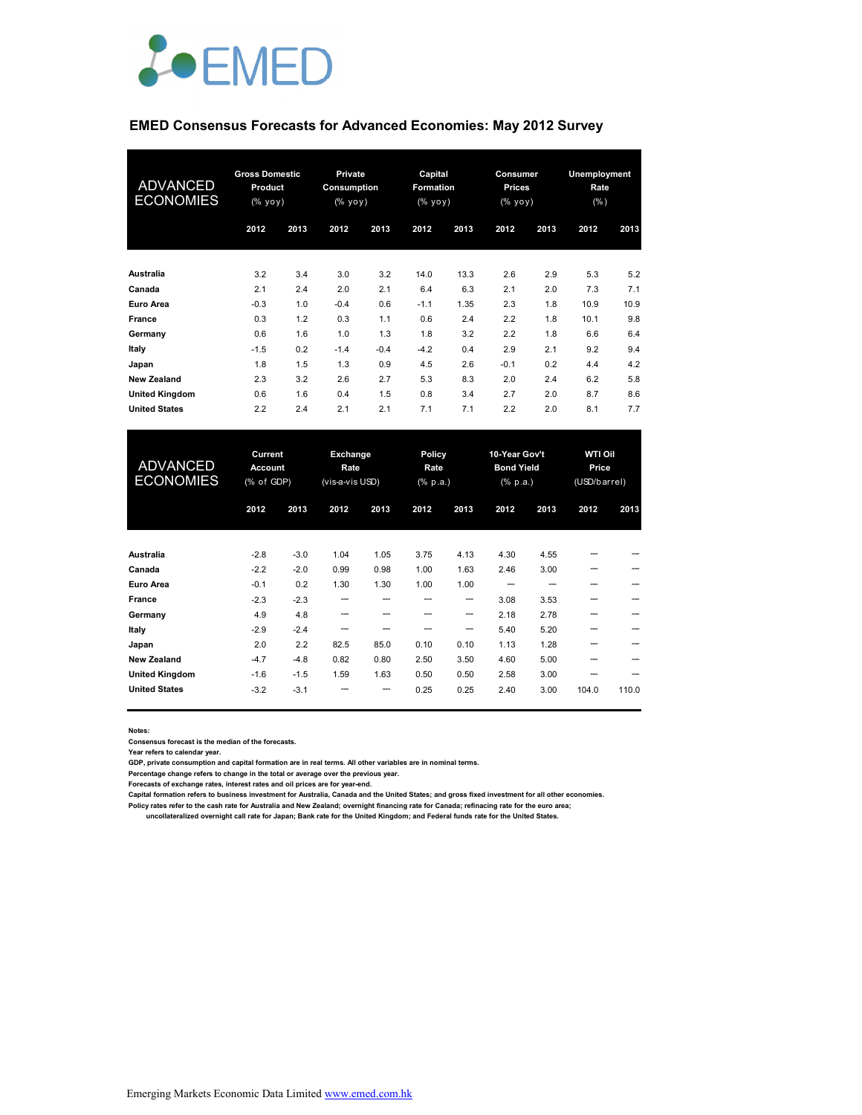

#### **EMED Consensus Forecasts for Advanced Economies: May 2012 Survey**

| <b>ADVANCED</b><br><b>ECONOMIES</b> | <b>Gross Domestic</b><br>Product<br>$(%$ yoy) |      | <b>Private</b><br>Consumption<br>(% |        | Capital<br>Formation<br>$(%$ yoy) |      | Consumer<br>Prices<br>(% |      | Unemployment<br>Rate<br>(% ) |      |
|-------------------------------------|-----------------------------------------------|------|-------------------------------------|--------|-----------------------------------|------|--------------------------|------|------------------------------|------|
|                                     | 2012                                          | 2013 | 2012                                | 2013   | 2012                              | 2013 | 2012                     | 2013 | 2012                         | 2013 |
| <b>Australia</b>                    | 3.2                                           | 3.4  | 3.0                                 | 3.2    | 14.0                              | 13.3 | 2.6                      | 2.9  | 5.3                          | 5.2  |
| Canada                              | 2.1                                           | 2.4  | 2.0                                 | 2.1    | 6.4                               | 6.3  | 2.1                      | 2.0  | 7.3                          | 7.1  |
| Euro Area                           | $-0.3$                                        | 1.0  | $-0.4$                              | 0.6    | $-1.1$                            | 1.35 | 2.3                      | 1.8  | 10.9                         | 10.9 |
| France                              | 0.3                                           | 1.2  | 0.3                                 | 1.1    | 0.6                               | 2.4  | 2.2                      | 1.8  | 10.1                         | 9.8  |
| Germany                             | 0.6                                           | 1.6  | 1.0                                 | 1.3    | 1.8                               | 3.2  | 2.2                      | 1.8  | 6.6                          | 6.4  |
| Italy                               | $-1.5$                                        | 0.2  | $-1.4$                              | $-0.4$ | $-4.2$                            | 0.4  | 2.9                      | 2.1  | 9.2                          | 9.4  |
| Japan                               | 1.8                                           | 1.5  | 1.3                                 | 0.9    | 4.5                               | 2.6  | $-0.1$                   | 0.2  | 4.4                          | 4.2  |
| <b>New Zealand</b>                  | 2.3                                           | 3.2  | 2.6                                 | 2.7    | 5.3                               | 8.3  | 2.0                      | 2.4  | 6.2                          | 5.8  |
| <b>United Kingdom</b>               | 0.6                                           | 1.6  | 0.4                                 | 1.5    | 0.8                               | 3.4  | 2.7                      | 2.0  | 8.7                          | 8.6  |
| <b>United States</b>                | 2.2                                           | 2.4  | 2.1                                 | 2.1    | 7.1                               | 7.1  | 2.2                      | 2.0  | 8.1                          | 7.7  |

| <b>ADVANCED</b><br><b>ECONOMIES</b> | Current<br><b>Account</b><br>(% of GDP) |        | Exchange<br>Rate<br>(vis-a-vis USD) |      | Policy<br>Rate<br>$(% \mathbf{a})$ (% p.a.) |      | 10-Year Gov't<br><b>Bond Yield</b><br>$(% \mathbf{a})$ $(% p.a.)$ |      | <b>WTI Oil</b><br>Price<br>(USD/barrel) |       |
|-------------------------------------|-----------------------------------------|--------|-------------------------------------|------|---------------------------------------------|------|-------------------------------------------------------------------|------|-----------------------------------------|-------|
|                                     | 2012                                    | 2013   | 2012                                | 2013 | 2012                                        | 2013 | 2012                                                              | 2013 | 2012                                    | 2013  |
| Australia                           | $-2.8$                                  | $-3.0$ | 1.04                                | 1.05 | 3.75                                        | 4.13 | 4.30                                                              | 4.55 |                                         |       |
| Canada                              | $-2.2$                                  | $-2.0$ | 0.99                                | 0.98 | 1.00                                        | 1.63 | 2.46                                                              | 3.00 |                                         |       |
| Euro Area                           | $-0.1$                                  | 0.2    | 1.30                                | 1.30 | 1.00                                        | 1.00 |                                                                   |      |                                         |       |
| France                              | $-2.3$                                  | $-2.3$ |                                     |      |                                             | ---  | 3.08                                                              | 3.53 | ---                                     |       |
| Germany                             | 4.9                                     | 4.8    | --                                  |      | ---                                         | ---  | 2.18                                                              | 2.78 |                                         | --    |
| Italy                               | $-2.9$                                  | $-2.4$ |                                     |      |                                             | --   | 5.40                                                              | 5.20 |                                         |       |
| Japan                               | 2.0                                     | 2.2    | 82.5                                | 85.0 | 0.10                                        | 0.10 | 1.13                                                              | 1.28 |                                         |       |
| <b>New Zealand</b>                  | $-4.7$                                  | $-4.8$ | 0.82                                | 0.80 | 2.50                                        | 3.50 | 4.60                                                              | 5.00 | ---                                     |       |
| <b>United Kingdom</b>               | $-1.6$                                  | $-1.5$ | 1.59                                | 1.63 | 0.50                                        | 0.50 | 2.58                                                              | 3.00 |                                         |       |
| <b>United States</b>                | $-3.2$                                  | $-3.1$ |                                     | ---  | 0.25                                        | 0.25 | 2.40                                                              | 3.00 | 104.0                                   | 110.0 |

**Notes:** 

**Consensus forecast is the median of the forecasts.**

**Year refers to calendar year.**

**GDP, private consumption and capital formation are in real terms. All other variables are in nominal terms.**

**Percentage change refers to change in the total or average over the previous year.**

**Forecasts of exchange rates, interest rates and oil prices are for year-end.**

**Capital formation refers to business investment for Australia, Canada and the United States; and gross fixed investment for all other economies.**

Policy rates refer to the cash rate for Australia and New Zealand; overnight financing rate for Canada; refinacing rate for the euro area;<br>uncollateralized overnight call rate for Japan; Bank rate for the United Kingdom;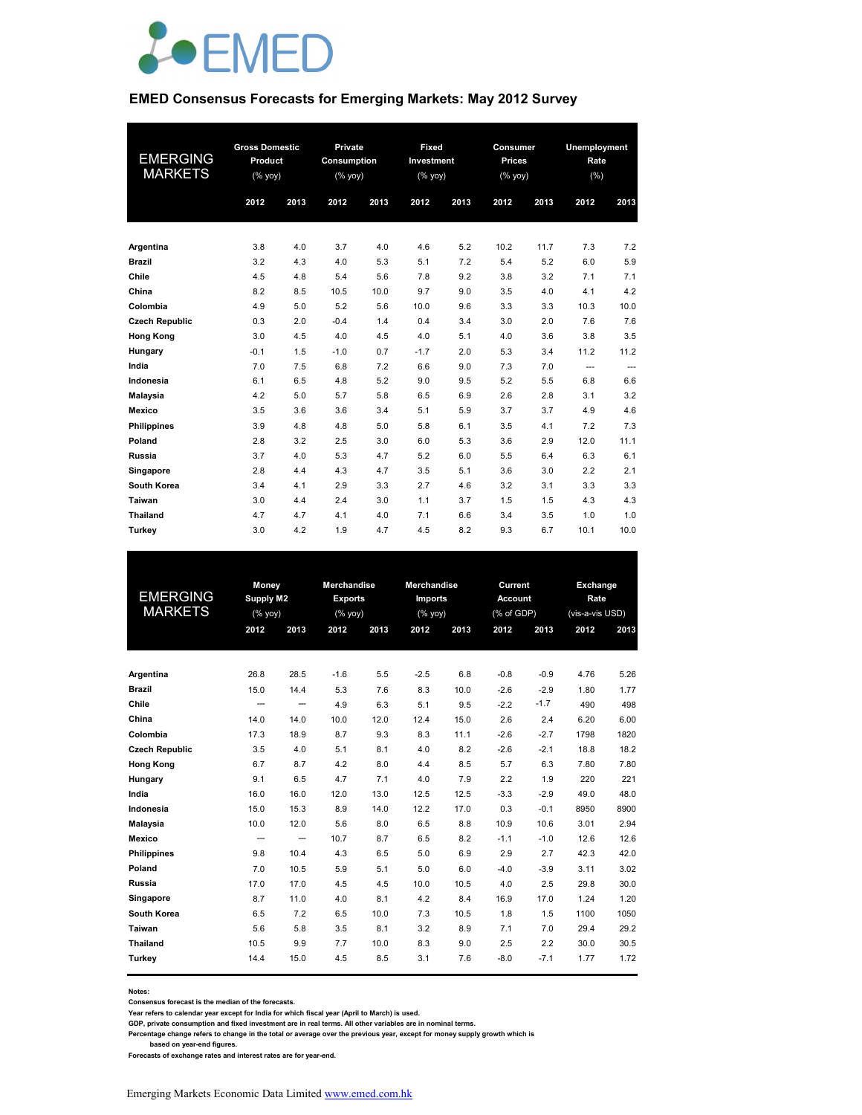

#### **EMED Consensus Forecasts for Emerging Markets: May 2012 Survey**

|                       | <b>Gross Domestic</b> |      | Private     |      |            | Fixed<br>Consumer |               |      | Unemployment |                          |
|-----------------------|-----------------------|------|-------------|------|------------|-------------------|---------------|------|--------------|--------------------------|
| EMERGING              | Product               |      | Consumption |      | Investment |                   | <b>Prices</b> |      | Rate         |                          |
| <b>MARKETS</b>        | (% yoy)               |      | (% yoy)     |      | $(%$ yoy)  |                   | $(%$ (% yoy)  |      | (% )         |                          |
|                       | 2012                  | 2013 | 2012        | 2013 | 2012       | 2013              | 2012          | 2013 | 2012         | 2013                     |
|                       |                       |      |             |      |            |                   |               |      |              |                          |
|                       |                       |      |             |      |            |                   |               |      |              |                          |
| Argentina             | 3.8                   | 4.0  | 3.7         | 4.0  | 4.6        | 5.2               | 10.2          | 11.7 | 7.3          | 7.2                      |
| <b>Brazil</b>         | 3.2                   | 4.3  | 4.0         | 5.3  | 5.1        | 7.2               | 5.4           | 5.2  | 6.0          | 5.9                      |
| Chile                 | 4.5                   | 4.8  | 5.4         | 5.6  | 7.8        | 9.2               | 3.8           | 3.2  | 7.1          | 7.1                      |
| China                 | 8.2                   | 8.5  | 10.5        | 10.0 | 9.7        | 9.0               | 3.5           | 4.0  | 4.1          | 4.2                      |
| Colombia              | 4.9                   | 5.0  | 5.2         | 5.6  | 10.0       | 9.6               | 3.3           | 3.3  | 10.3         | 10.0                     |
| <b>Czech Republic</b> | 0.3                   | 2.0  | $-0.4$      | 1.4  | 0.4        | 3.4               | 3.0           | 2.0  | 7.6          | 7.6                      |
| <b>Hong Kong</b>      | 3.0                   | 4.5  | 4.0         | 4.5  | 4.0        | 5.1               | 4.0           | 3.6  | 3.8          | 3.5                      |
| Hungary               | $-0.1$                | 1.5  | $-1.0$      | 0.7  | $-1.7$     | 2.0               | 5.3           | 3.4  | 11.2         | 11.2                     |
| India                 | 7.0                   | 7.5  | 6.8         | 7.2  | 6.6        | 9.0               | 7.3           | 7.0  | ---          | $\overline{\phantom{a}}$ |
| Indonesia             | 6.1                   | 6.5  | 4.8         | 5.2  | 9.0        | 9.5               | 5.2           | 5.5  | 6.8          | 6.6                      |
| <b>Malaysia</b>       | 4.2                   | 5.0  | 5.7         | 5.8  | 6.5        | 6.9               | 2.6           | 2.8  | 3.1          | 3.2                      |
| Mexico                | 3.5                   | 3.6  | 3.6         | 3.4  | 5.1        | 5.9               | 3.7           | 3.7  | 4.9          | 4.6                      |
| <b>Philippines</b>    | 3.9                   | 4.8  | 4.8         | 5.0  | 5.8        | 6.1               | 3.5           | 4.1  | 7.2          | 7.3                      |
| Poland                | 2.8                   | 3.2  | 2.5         | 3.0  | 6.0        | 5.3               | 3.6           | 2.9  | 12.0         | 11.1                     |
| Russia                | 3.7                   | 4.0  | 5.3         | 4.7  | 5.2        | 6.0               | 5.5           | 6.4  | 6.3          | 6.1                      |
| Singapore             | 2.8                   | 4.4  | 4.3         | 4.7  | 3.5        | 5.1               | 3.6           | 3.0  | 2.2          | 2.1                      |
| South Korea           | 3.4                   | 4.1  | 2.9         | 3.3  | 2.7        | 4.6               | 3.2           | 3.1  | 3.3          | 3.3                      |
| Taiwan                | 3.0                   | 4.4  | 2.4         | 3.0  | 1.1        | 3.7               | 1.5           | 1.5  | 4.3          | 4.3                      |
| <b>Thailand</b>       | 4.7                   | 4.7  | 4.1         | 4.0  | 7.1        | 6.6               | 3.4           | 3.5  | 1.0          | 1.0                      |
| Turkey                | 3.0                   | 4.2  | 1.9         | 4.7  | 4.5        | 8.2               | 9.3           | 6.7  | 10.1         | 10.0                     |

| <b>EMERGING</b><br><b>MARKETS</b> | 2012                     | Money<br><b>Supply M2</b><br>(% yoy)<br>2013 |        | <b>Merchandise</b><br><b>Exports</b><br>(% yoy)<br>2012<br>2013 |        | Merchandise<br><b>Imports</b><br>$(%$ yoy)<br>2012<br>2013 |        | Current<br><b>Account</b><br>(% of GDP)<br>2012<br>2013 |      | Exchange<br>Rate<br>(vis-a-vis USD)<br>2012<br>2013 |  |
|-----------------------------------|--------------------------|----------------------------------------------|--------|-----------------------------------------------------------------|--------|------------------------------------------------------------|--------|---------------------------------------------------------|------|-----------------------------------------------------|--|
|                                   |                          |                                              |        |                                                                 |        |                                                            |        |                                                         |      |                                                     |  |
| Argentina                         | 26.8                     | 28.5                                         | $-1.6$ | 5.5                                                             | $-2.5$ | 6.8                                                        | $-0.8$ | $-0.9$                                                  | 4.76 | 5.26                                                |  |
| <b>Brazil</b>                     | 15.0                     | 14.4                                         | 5.3    | 7.6                                                             | 8.3    | 10.0                                                       | $-2.6$ | $-2.9$                                                  | 1.80 | 1.77                                                |  |
| Chile                             | $\overline{\phantom{a}}$ | --                                           | 4.9    | 6.3                                                             | 5.1    | 9.5                                                        | $-2.2$ | $-1.7$                                                  | 490  | 498                                                 |  |
| China                             | 14.0                     | 14.0                                         | 10.0   | 12.0                                                            | 12.4   | 15.0                                                       | 2.6    | 2.4                                                     | 6.20 | 6.00                                                |  |
| Colombia                          | 17.3                     | 18.9                                         | 8.7    | 9.3                                                             | 8.3    | 11.1                                                       | $-2.6$ | $-2.7$                                                  | 1798 | 1820                                                |  |
| <b>Czech Republic</b>             | 3.5                      | 4.0                                          | 5.1    | 8.1                                                             | 4.0    | 8.2                                                        | $-2.6$ | $-2.1$                                                  | 18.8 | 18.2                                                |  |
| <b>Hong Kong</b>                  | 6.7                      | 8.7                                          | 4.2    | 8.0                                                             | 4.4    | 8.5                                                        | 5.7    | 6.3                                                     | 7.80 | 7.80                                                |  |
| Hungary                           | 9.1                      | 6.5                                          | 4.7    | 7.1                                                             | 4.0    | 7.9                                                        | 2.2    | 1.9                                                     | 220  | 221                                                 |  |
| India                             | 16.0                     | 16.0                                         | 12.0   | 13.0                                                            | 12.5   | 12.5                                                       | $-3.3$ | $-2.9$                                                  | 49.0 | 48.0                                                |  |
| Indonesia                         | 15.0                     | 15.3                                         | 8.9    | 14.0                                                            | 12.2   | 17.0                                                       | 0.3    | $-0.1$                                                  | 8950 | 8900                                                |  |
| <b>Malaysia</b>                   | 10.0                     | 12.0                                         | 5.6    | 8.0                                                             | 6.5    | 8.8                                                        | 10.9   | 10.6                                                    | 3.01 | 2.94                                                |  |
| Mexico                            | $\overline{\phantom{a}}$ | $\hspace{0.05cm} -$                          | 10.7   | 8.7                                                             | 6.5    | 8.2                                                        | $-1.1$ | $-1.0$                                                  | 12.6 | 12.6                                                |  |
| <b>Philippines</b>                | 9.8                      | 10.4                                         | 4.3    | 6.5                                                             | 5.0    | 6.9                                                        | 2.9    | 2.7                                                     | 42.3 | 42.0                                                |  |
| Poland                            | 7.0                      | 10.5                                         | 5.9    | 5.1                                                             | 5.0    | 6.0                                                        | $-4.0$ | $-3.9$                                                  | 3.11 | 3.02                                                |  |
| Russia                            | 17.0                     | 17.0                                         | 4.5    | 4.5                                                             | 10.0   | 10.5                                                       | 4.0    | 2.5                                                     | 29.8 | 30.0                                                |  |
| Singapore                         | 8.7                      | 11.0                                         | 4.0    | 8.1                                                             | 4.2    | 8.4                                                        | 16.9   | 17.0                                                    | 1.24 | 1.20                                                |  |
| South Korea                       | 6.5                      | 7.2                                          | 6.5    | 10.0                                                            | 7.3    | 10.5                                                       | 1.8    | 1.5                                                     | 1100 | 1050                                                |  |
| Taiwan                            | 5.6                      | 5.8                                          | 3.5    | 8.1                                                             | 3.2    | 8.9                                                        | 7.1    | 7.0                                                     | 29.4 | 29.2                                                |  |
| Thailand                          | 10.5                     | 9.9                                          | 7.7    | 10.0                                                            | 8.3    | 9.0                                                        | 2.5    | 2.2                                                     | 30.0 | 30.5                                                |  |
| Turkey                            | 14.4                     | 15.0                                         | 4.5    | 8.5                                                             | 3.1    | 7.6                                                        | $-8.0$ | $-7.1$                                                  | 1.77 | 1.72                                                |  |

**Notes:** 

**Consensus forecast is the median of the forecasts.**

**Year refers to calendar year except for India for which fiscal year (April to March) is used. GDP, private consumption and fixed investment are in real terms. All other variables are in nominal terms.**

**Percentage change refers to change in the total or average over the previous year, except for money supply growth which is** 

 **based on year-end figures. Forecasts of exchange rates and interest rates are for year-end.**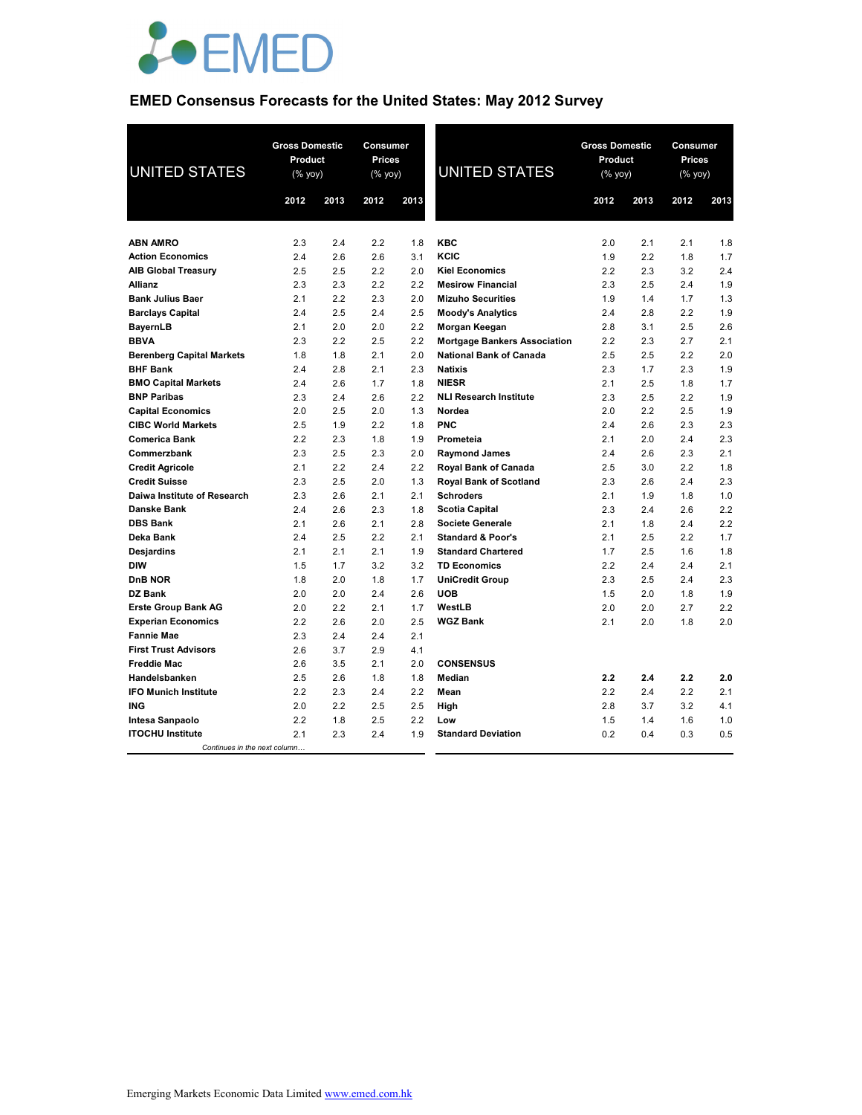

# **EMED Consensus Forecasts for the United States: May 2012 Survey**

| <b>UNITED STATES</b>             | <b>Gross Domestic</b><br><b>Product</b><br>(% yoy) |      | <b>Consumer</b><br><b>Prices</b><br>(% yoy) |      | <b>UNITED STATES</b>                | <b>Gross Domestic</b><br>Product<br>(% yoy) |      | <b>Consumer</b><br><b>Prices</b><br>(% yoy) |      |
|----------------------------------|----------------------------------------------------|------|---------------------------------------------|------|-------------------------------------|---------------------------------------------|------|---------------------------------------------|------|
|                                  | 2012                                               | 2013 | 2012                                        | 2013 |                                     | 2012                                        | 2013 | 2012                                        | 2013 |
|                                  |                                                    |      |                                             |      |                                     |                                             |      |                                             |      |
| <b>ABN AMRO</b>                  | 2.3                                                | 2.4  | 2.2                                         | 1.8  | <b>KBC</b>                          | 2.0                                         | 2.1  | 2.1                                         | 1.8  |
| <b>Action Economics</b>          | 2.4                                                | 2.6  | 2.6                                         | 3.1  | KCIC                                | 1.9                                         | 2.2  | 1.8                                         | 1.7  |
| <b>AIB Global Treasury</b>       | 2.5                                                | 2.5  | 2.2                                         | 2.0  | <b>Kiel Economics</b>               | 2.2                                         | 2.3  | 3.2                                         | 2.4  |
| <b>Allianz</b>                   | 2.3                                                | 2.3  | 2.2                                         | 2.2  | <b>Mesirow Financial</b>            | 2.3                                         | 2.5  | 2.4                                         | 1.9  |
| <b>Bank Julius Baer</b>          | 2.1                                                | 2.2  | 2.3                                         | 2.0  | <b>Mizuho Securities</b>            | 1.9                                         | 1.4  | 1.7                                         | 1.3  |
| <b>Barclays Capital</b>          | 2.4                                                | 2.5  | 2.4                                         | 2.5  | <b>Moody's Analytics</b>            | 2.4                                         | 2.8  | 2.2                                         | 1.9  |
| <b>BayernLB</b>                  | 2.1                                                | 2.0  | 2.0                                         | 2.2  | Morgan Keegan                       | 2.8                                         | 3.1  | 2.5                                         | 2.6  |
| <b>BBVA</b>                      | 2.3                                                | 2.2  | 2.5                                         | 2.2  | <b>Mortgage Bankers Association</b> | 2.2                                         | 2.3  | 2.7                                         | 2.1  |
| <b>Berenberg Capital Markets</b> | 1.8                                                | 1.8  | 2.1                                         | 2.0  | <b>National Bank of Canada</b>      | 2.5                                         | 2.5  | 2.2                                         | 2.0  |
| <b>BHF Bank</b>                  | 2.4                                                | 2.8  | 2.1                                         | 2.3  | <b>Natixis</b>                      | 2.3                                         | 1.7  | 2.3                                         | 1.9  |
| <b>BMO Capital Markets</b>       | 2.4                                                | 2.6  | 1.7                                         | 1.8  | <b>NIESR</b>                        | 2.1                                         | 2.5  | 1.8                                         | 1.7  |
| <b>BNP Paribas</b>               | 2.3                                                | 2.4  | 2.6                                         | 2.2  | <b>NLI Research Institute</b>       | 2.3                                         | 2.5  | 2.2                                         | 1.9  |
| <b>Capital Economics</b>         | 2.0                                                | 2.5  | 2.0                                         | 1.3  | Nordea                              | 2.0                                         | 2.2  | 2.5                                         | 1.9  |
| <b>CIBC World Markets</b>        | 2.5                                                | 1.9  | 2.2                                         | 1.8  | <b>PNC</b>                          | 2.4                                         | 2.6  | 2.3                                         | 2.3  |
| <b>Comerica Bank</b>             | 2.2                                                | 2.3  | 1.8                                         | 1.9  | Prometeia                           | 2.1                                         | 2.0  | 2.4                                         | 2.3  |
| Commerzbank                      | 2.3                                                | 2.5  | 2.3                                         | 2.0  | <b>Raymond James</b>                | 2.4                                         | 2.6  | 2.3                                         | 2.1  |
| <b>Credit Agricole</b>           | 2.1                                                | 2.2  | 2.4                                         | 2.2  | Royal Bank of Canada                | 2.5                                         | 3.0  | 2.2                                         | 1.8  |
| <b>Credit Suisse</b>             | 2.3                                                | 2.5  | 2.0                                         | 1.3  | <b>Royal Bank of Scotland</b>       | 2.3                                         | 2.6  | 2.4                                         | 2.3  |
| Daiwa Institute of Research      | 2.3                                                | 2.6  | 2.1                                         | 2.1  | <b>Schroders</b>                    | 2.1                                         | 1.9  | 1.8                                         | 1.0  |
| <b>Danske Bank</b>               | 2.4                                                | 2.6  | 2.3                                         | 1.8  | <b>Scotia Capital</b>               | 2.3                                         | 2.4  | 2.6                                         | 2.2  |
| <b>DBS Bank</b>                  | 2.1                                                | 2.6  | 2.1                                         | 2.8  | <b>Societe Generale</b>             | 2.1                                         | 1.8  | 2.4                                         | 2.2  |
| Deka Bank                        | 2.4                                                | 2.5  | 2.2                                         | 2.1  | <b>Standard &amp; Poor's</b>        | 2.1                                         | 2.5  | 2.2                                         | 1.7  |
| Desjardins                       | 2.1                                                | 2.1  | 2.1                                         | 1.9  | <b>Standard Chartered</b>           | 1.7                                         | 2.5  | 1.6                                         | 1.8  |
| <b>DIW</b>                       | 1.5                                                | 1.7  | 3.2                                         | 3.2  | <b>TD Economics</b>                 | 2.2                                         | 2.4  | 2.4                                         | 2.1  |
| <b>DnB NOR</b>                   | 1.8                                                | 2.0  | 1.8                                         | 1.7  | <b>UniCredit Group</b>              | 2.3                                         | 2.5  | 2.4                                         | 2.3  |
| DZ Bank                          | 2.0                                                | 2.0  | 2.4                                         | 2.6  | <b>UOB</b>                          | 1.5                                         | 2.0  | 1.8                                         | 1.9  |
| <b>Erste Group Bank AG</b>       | 2.0                                                | 2.2  | 2.1                                         | 1.7  | WestLB                              | 2.0                                         | 2.0  | 2.7                                         | 2.2  |
| <b>Experian Economics</b>        | 2.2                                                | 2.6  | 2.0                                         | 2.5  | <b>WGZ Bank</b>                     | 2.1                                         | 2.0  | 1.8                                         | 2.0  |
| <b>Fannie Mae</b>                | 2.3                                                | 2.4  | 2.4                                         | 2.1  |                                     |                                             |      |                                             |      |
| <b>First Trust Advisors</b>      | 2.6                                                | 3.7  | 2.9                                         | 4.1  |                                     |                                             |      |                                             |      |
| <b>Freddie Mac</b>               | 2.6                                                | 3.5  | 2.1                                         | 2.0  | <b>CONSENSUS</b>                    |                                             |      |                                             |      |
| Handelsbanken                    | 2.5                                                | 2.6  | 1.8                                         | 1.8  | Median                              | 2.2                                         | 2.4  | 2.2                                         | 2.0  |
| <b>IFO Munich Institute</b>      | 2.2                                                | 2.3  | 2.4                                         | 2.2  | Mean                                | 2.2                                         | 2.4  | 2.2                                         | 2.1  |
| ING                              | 2.0                                                | 2.2  | 2.5                                         | 2.5  | High                                | 2.8                                         | 3.7  | 3.2                                         | 4.1  |
| Intesa Sanpaolo                  | 2.2                                                | 1.8  | 2.5                                         | 2.2  | Low                                 | 1.5                                         | 1.4  | 1.6                                         | 1.0  |
| <b>ITOCHU Institute</b>          | 2.1                                                | 2.3  | 2.4                                         | 1.9  | <b>Standard Deviation</b>           | 0.2                                         | 0.4  | 0.3                                         | 0.5  |
| Continues in the next column     |                                                    |      |                                             |      |                                     |                                             |      |                                             |      |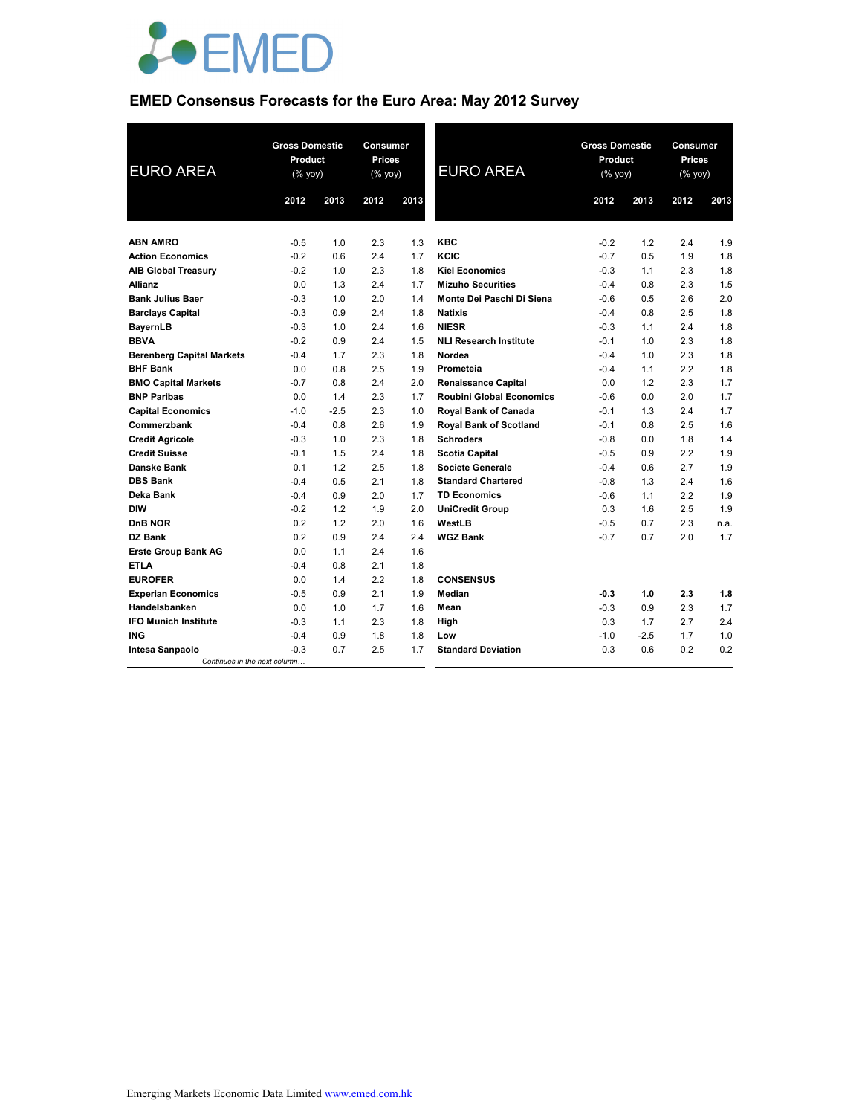

# **EMED Consensus Forecasts for the Euro Area: May 2012 Survey**

| <b>EURO AREA</b>                 | <b>Gross Domestic</b><br>Product<br>(% yoy) |        | <b>Consumer</b><br><b>Prices</b><br>(% yoy) |      | <b>EURO AREA</b>                | <b>Gross Domestic</b><br>Product<br>(% yoy) |        | <b>Consumer</b><br><b>Prices</b><br>(% yoy) |      |
|----------------------------------|---------------------------------------------|--------|---------------------------------------------|------|---------------------------------|---------------------------------------------|--------|---------------------------------------------|------|
|                                  | 2012                                        | 2013   | 2012                                        | 2013 |                                 | 2012                                        | 2013   | 2012                                        | 2013 |
|                                  |                                             |        |                                             |      |                                 |                                             |        |                                             |      |
| <b>ABN AMRO</b>                  | $-0.5$                                      | 1.0    | 2.3                                         | 1.3  | <b>KBC</b>                      | $-0.2$                                      | 1.2    | 2.4                                         | 1.9  |
| <b>Action Economics</b>          | $-0.2$                                      | 0.6    | 2.4                                         | 1.7  | KCIC                            | $-0.7$                                      | 0.5    | 1.9                                         | 1.8  |
| <b>AIB Global Treasury</b>       | $-0.2$                                      | 1.0    | 2.3                                         | 1.8  | <b>Kiel Economics</b>           | $-0.3$                                      | 1.1    | 2.3                                         | 1.8  |
| <b>Allianz</b>                   | 0.0                                         | 1.3    | 2.4                                         | 1.7  | <b>Mizuho Securities</b>        | $-0.4$                                      | 0.8    | 2.3                                         | 1.5  |
| <b>Bank Julius Baer</b>          | $-0.3$                                      | 1.0    | 2.0                                         | 1.4  | Monte Dei Paschi Di Siena       | $-0.6$                                      | 0.5    | 2.6                                         | 2.0  |
| <b>Barclays Capital</b>          | $-0.3$                                      | 0.9    | 2.4                                         | 1.8  | <b>Natixis</b>                  | $-0.4$                                      | 0.8    | 2.5                                         | 1.8  |
| <b>BayernLB</b>                  | $-0.3$                                      | 1.0    | 2.4                                         | 1.6  | <b>NIESR</b>                    | $-0.3$                                      | 1.1    | 2.4                                         | 1.8  |
| <b>BBVA</b>                      | $-0.2$                                      | 0.9    | 2.4                                         | 1.5  | <b>NLI Research Institute</b>   | $-0.1$                                      | 1.0    | 2.3                                         | 1.8  |
| <b>Berenberg Capital Markets</b> | $-0.4$                                      | 1.7    | 2.3                                         | 1.8  | Nordea                          | $-0.4$                                      | 1.0    | 2.3                                         | 1.8  |
| <b>BHF Bank</b>                  | 0.0                                         | 0.8    | 2.5                                         | 1.9  | Prometeia                       | $-0.4$                                      | 1.1    | 2.2                                         | 1.8  |
| <b>BMO Capital Markets</b>       | $-0.7$                                      | 0.8    | 2.4                                         | 2.0  | <b>Renaissance Capital</b>      | 0.0                                         | 1.2    | 2.3                                         | 1.7  |
| <b>BNP Paribas</b>               | 0.0                                         | 1.4    | 2.3                                         | 1.7  | <b>Roubini Global Economics</b> | $-0.6$                                      | 0.0    | 2.0                                         | 1.7  |
| <b>Capital Economics</b>         | $-1.0$                                      | $-2.5$ | 2.3                                         | 1.0  | <b>Royal Bank of Canada</b>     | $-0.1$                                      | 1.3    | 2.4                                         | 1.7  |
| Commerzbank                      | $-0.4$                                      | 0.8    | 2.6                                         | 1.9  | Royal Bank of Scotland          | $-0.1$                                      | 0.8    | 2.5                                         | 1.6  |
| <b>Credit Agricole</b>           | $-0.3$                                      | 1.0    | 2.3                                         | 1.8  | <b>Schroders</b>                | $-0.8$                                      | 0.0    | 1.8                                         | 1.4  |
| <b>Credit Suisse</b>             | $-0.1$                                      | 1.5    | 2.4                                         | 1.8  | <b>Scotia Capital</b>           | $-0.5$                                      | 0.9    | 2.2                                         | 1.9  |
| <b>Danske Bank</b>               | 0.1                                         | 1.2    | 2.5                                         | 1.8  | <b>Societe Generale</b>         | $-0.4$                                      | 0.6    | 2.7                                         | 1.9  |
| <b>DBS Bank</b>                  | $-0.4$                                      | 0.5    | 2.1                                         | 1.8  | <b>Standard Chartered</b>       | $-0.8$                                      | 1.3    | 2.4                                         | 1.6  |
| Deka Bank                        | $-0.4$                                      | 0.9    | 2.0                                         | 1.7  | <b>TD Economics</b>             | $-0.6$                                      | 1.1    | 2.2                                         | 1.9  |
| <b>DIW</b>                       | $-0.2$                                      | 1.2    | 1.9                                         | 2.0  | <b>UniCredit Group</b>          | 0.3                                         | 1.6    | 2.5                                         | 1.9  |
| D <sub>n</sub> B NOR             | 0.2                                         | 1.2    | 2.0                                         | 1.6  | WestLB                          | $-0.5$                                      | 0.7    | 2.3                                         | n.a. |
| <b>DZ Bank</b>                   | 0.2                                         | 0.9    | 2.4                                         | 2.4  | <b>WGZ Bank</b>                 | $-0.7$                                      | 0.7    | 2.0                                         | 1.7  |
| <b>Erste Group Bank AG</b>       | 0.0                                         | 1.1    | 2.4                                         | 1.6  |                                 |                                             |        |                                             |      |
| <b>ETLA</b>                      | $-0.4$                                      | 0.8    | 2.1                                         | 1.8  |                                 |                                             |        |                                             |      |
| <b>EUROFER</b>                   | 0.0                                         | 1.4    | 2.2                                         | 1.8  | <b>CONSENSUS</b>                |                                             |        |                                             |      |
| <b>Experian Economics</b>        | $-0.5$                                      | 0.9    | 2.1                                         | 1.9  | Median                          | $-0.3$                                      | 1.0    | 2.3                                         | 1.8  |
| Handelsbanken                    | 0.0                                         | 1.0    | 1.7                                         | 1.6  | Mean                            | $-0.3$                                      | 0.9    | 2.3                                         | 1.7  |
| <b>IFO Munich Institute</b>      | $-0.3$                                      | 1.1    | 2.3                                         | 1.8  | High                            | 0.3                                         | 1.7    | 2.7                                         | 2.4  |
| <b>ING</b>                       | $-0.4$                                      | 0.9    | 1.8                                         | 1.8  | Low                             | $-1.0$                                      | $-2.5$ | 1.7                                         | 1.0  |
| Intesa Sanpaolo                  | $-0.3$                                      | 0.7    | 2.5                                         | 1.7  | <b>Standard Deviation</b>       | 0.3                                         | 0.6    | 0.2                                         | 0.2  |
| Continues in the next column     |                                             |        |                                             |      |                                 |                                             |        |                                             |      |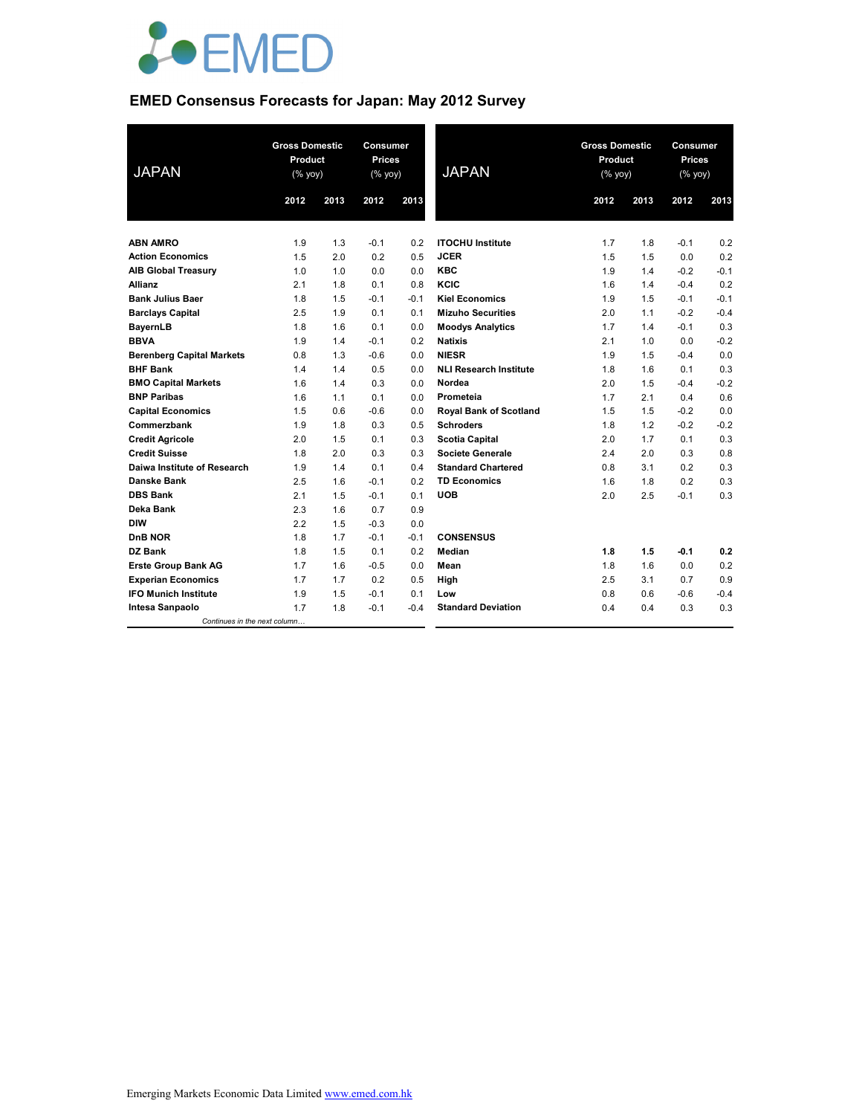

# **EMED Consensus Forecasts for Japan: May 2012 Survey**

| <b>JAPAN</b>                     | <b>Gross Domestic</b><br>Product<br>(% yoy) |      | Consumer<br><b>Prices</b><br>(% yoy) |        | <b>JAPAN</b>                  | <b>Gross Domestic</b><br>Product<br>(% yoy) |      | Consumer<br><b>Prices</b><br>(% yoy) |        |
|----------------------------------|---------------------------------------------|------|--------------------------------------|--------|-------------------------------|---------------------------------------------|------|--------------------------------------|--------|
|                                  | 2012                                        | 2013 | 2012                                 | 2013   |                               | 2012                                        | 2013 | 2012                                 | 2013   |
|                                  |                                             |      |                                      |        |                               |                                             |      |                                      |        |
| <b>ABN AMRO</b>                  | 1.9                                         | 1.3  | $-0.1$                               | 0.2    | <b>ITOCHU Institute</b>       | 1.7                                         | 1.8  | $-0.1$                               | 0.2    |
| <b>Action Economics</b>          | 1.5                                         | 2.0  | 0.2                                  | 0.5    | <b>JCER</b>                   | 1.5                                         | 1.5  | 0.0                                  | 0.2    |
| <b>AIB Global Treasury</b>       | 1.0                                         | 1.0  | 0.0                                  | 0.0    | <b>KBC</b>                    | 1.9                                         | 1.4  | $-0.2$                               | $-0.1$ |
| <b>Allianz</b>                   | 2.1                                         | 1.8  | 0.1                                  | 0.8    | KCIC                          | 1.6                                         | 1.4  | $-0.4$                               | 0.2    |
| <b>Bank Julius Baer</b>          | 1.8                                         | 1.5  | $-0.1$                               | $-0.1$ | <b>Kiel Economics</b>         | 1.9                                         | 1.5  | $-0.1$                               | $-0.1$ |
| <b>Barclays Capital</b>          | 2.5                                         | 1.9  | 0.1                                  | 0.1    | <b>Mizuho Securities</b>      | 2.0                                         | 1.1  | $-0.2$                               | $-0.4$ |
| <b>BayernLB</b>                  | 1.8                                         | 1.6  | 0.1                                  | 0.0    | <b>Moodys Analytics</b>       | 1.7                                         | 1.4  | $-0.1$                               | 0.3    |
| <b>BBVA</b>                      | 1.9                                         | 1.4  | $-0.1$                               | 0.2    | <b>Natixis</b>                | 2.1                                         | 1.0  | 0.0                                  | $-0.2$ |
| <b>Berenberg Capital Markets</b> | 0.8                                         | 1.3  | $-0.6$                               | 0.0    | <b>NIESR</b>                  | 1.9                                         | 1.5  | $-0.4$                               | 0.0    |
| <b>BHF Bank</b>                  | 1.4                                         | 1.4  | 0.5                                  | 0.0    | <b>NLI Research Institute</b> | 1.8                                         | 1.6  | 0.1                                  | 0.3    |
| <b>BMO Capital Markets</b>       | 1.6                                         | 1.4  | 0.3                                  | 0.0    | Nordea                        | 2.0                                         | 1.5  | $-0.4$                               | $-0.2$ |
| <b>BNP Paribas</b>               | 1.6                                         | 1.1  | 0.1                                  | 0.0    | Prometeia                     | 1.7                                         | 2.1  | 0.4                                  | 0.6    |
| <b>Capital Economics</b>         | 1.5                                         | 0.6  | $-0.6$                               | 0.0    | <b>Royal Bank of Scotland</b> | 1.5                                         | 1.5  | $-0.2$                               | 0.0    |
| Commerzbank                      | 1.9                                         | 1.8  | 0.3                                  | 0.5    | <b>Schroders</b>              | 1.8                                         | 1.2  | $-0.2$                               | $-0.2$ |
| <b>Credit Agricole</b>           | 2.0                                         | 1.5  | 0.1                                  | 0.3    | <b>Scotia Capital</b>         | 2.0                                         | 1.7  | 0.1                                  | 0.3    |
| <b>Credit Suisse</b>             | 1.8                                         | 2.0  | 0.3                                  | 0.3    | <b>Societe Generale</b>       | 2.4                                         | 2.0  | 0.3                                  | 0.8    |
| Daiwa Institute of Research      | 1.9                                         | 1.4  | 0.1                                  | 0.4    | <b>Standard Chartered</b>     | 0.8                                         | 3.1  | 0.2                                  | 0.3    |
| Danske Bank                      | 2.5                                         | 1.6  | $-0.1$                               | 0.2    | <b>TD Economics</b>           | 1.6                                         | 1.8  | 0.2                                  | 0.3    |
| <b>DBS Bank</b>                  | 2.1                                         | 1.5  | $-0.1$                               | 0.1    | <b>UOB</b>                    | 2.0                                         | 2.5  | $-0.1$                               | 0.3    |
| Deka Bank                        | 2.3                                         | 1.6  | 0.7                                  | 0.9    |                               |                                             |      |                                      |        |
| <b>DIW</b>                       | 2.2                                         | 1.5  | $-0.3$                               | 0.0    |                               |                                             |      |                                      |        |
| DnB NOR                          | 1.8                                         | 1.7  | $-0.1$                               | $-0.1$ | <b>CONSENSUS</b>              |                                             |      |                                      |        |
| DZ Bank                          | 1.8                                         | 1.5  | 0.1                                  | 0.2    | <b>Median</b>                 | 1.8                                         | 1.5  | $-0.1$                               | 0.2    |
| <b>Erste Group Bank AG</b>       | 1.7                                         | 1.6  | $-0.5$                               | 0.0    | Mean                          | 1.8                                         | 1.6  | 0.0                                  | 0.2    |
| <b>Experian Economics</b>        | 1.7                                         | 1.7  | 0.2                                  | 0.5    | High                          | 2.5                                         | 3.1  | 0.7                                  | 0.9    |
| <b>IFO Munich Institute</b>      | 1.9                                         | 1.5  | $-0.1$                               | 0.1    | Low                           | 0.8                                         | 0.6  | $-0.6$                               | $-0.4$ |
| Intesa Sanpaolo                  | 1.7                                         | 1.8  | $-0.1$                               | $-0.4$ | <b>Standard Deviation</b>     | 0.4                                         | 0.4  | 0.3                                  | 0.3    |
| Continues in the next column     |                                             |      |                                      |        |                               |                                             |      |                                      |        |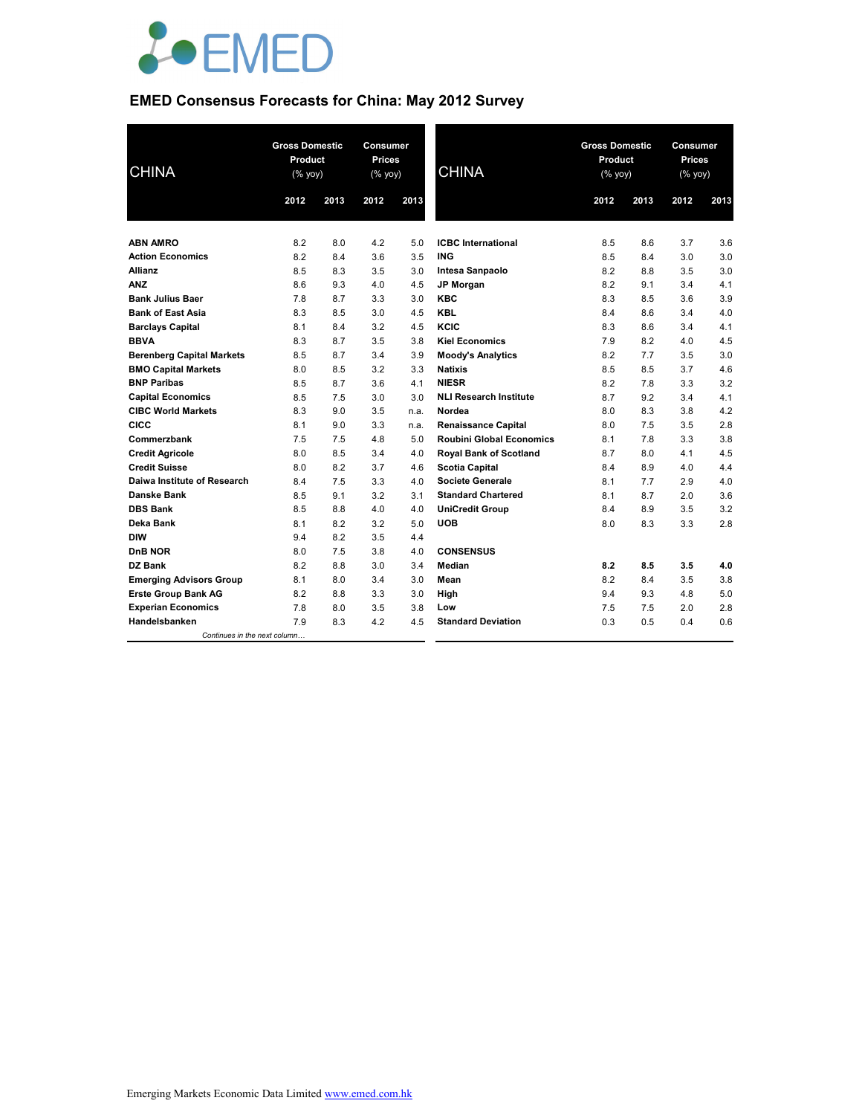

# **EMED Consensus Forecasts for China: May 2012 Survey**

| <b>CHINA</b>                     | <b>Gross Domestic</b><br>Product<br>$(% \mathsf{Y}^{\prime }\mathsf{Y}^{\prime }\mathsf{Y}^{\prime })$ |      | Consumer<br><b>Prices</b><br>(% yoy) |      | <b>CHINA</b>                    | <b>Gross Domestic</b><br>Product<br>(% yoy) |      | Consumer<br><b>Prices</b><br>(% yoy) |      |
|----------------------------------|--------------------------------------------------------------------------------------------------------|------|--------------------------------------|------|---------------------------------|---------------------------------------------|------|--------------------------------------|------|
|                                  | 2012                                                                                                   | 2013 | 2012                                 | 2013 |                                 | 2012                                        | 2013 | 2012                                 | 2013 |
|                                  |                                                                                                        |      |                                      |      |                                 |                                             |      |                                      |      |
| <b>ABN AMRO</b>                  | 8.2                                                                                                    | 8.0  | 4.2                                  | 5.0  | <b>ICBC</b> International       | 8.5                                         | 8.6  | 3.7                                  | 3.6  |
| <b>Action Economics</b>          | 8.2                                                                                                    | 8.4  | 3.6                                  | 3.5  | ING                             | 8.5                                         | 8.4  | 3.0                                  | 3.0  |
| <b>Allianz</b>                   | 8.5                                                                                                    | 8.3  | 3.5                                  | 3.0  | Intesa Sanpaolo                 | 8.2                                         | 8.8  | 3.5                                  | 3.0  |
| <b>ANZ</b>                       | 8.6                                                                                                    | 9.3  | 4.0                                  | 4.5  | <b>JP Morgan</b>                | 8.2                                         | 9.1  | 3.4                                  | 4.1  |
| <b>Bank Julius Baer</b>          | 7.8                                                                                                    | 8.7  | 3.3                                  | 3.0  | <b>KBC</b>                      | 8.3                                         | 8.5  | 3.6                                  | 3.9  |
| <b>Bank of East Asia</b>         | 8.3                                                                                                    | 8.5  | 3.0                                  | 4.5  | <b>KBL</b>                      | 8.4                                         | 8.6  | 3.4                                  | 4.0  |
| <b>Barclays Capital</b>          | 8.1                                                                                                    | 8.4  | 3.2                                  | 4.5  | KCIC                            | 8.3                                         | 8.6  | 3.4                                  | 4.1  |
| <b>BBVA</b>                      | 8.3                                                                                                    | 8.7  | 3.5                                  | 3.8  | <b>Kiel Economics</b>           | 7.9                                         | 8.2  | 4.0                                  | 4.5  |
| <b>Berenberg Capital Markets</b> | 8.5                                                                                                    | 8.7  | 3.4                                  | 3.9  | <b>Moody's Analytics</b>        | 8.2                                         | 7.7  | 3.5                                  | 3.0  |
| <b>BMO Capital Markets</b>       | 8.0                                                                                                    | 8.5  | 3.2                                  | 3.3  | <b>Natixis</b>                  | 8.5                                         | 8.5  | 3.7                                  | 4.6  |
| <b>BNP Paribas</b>               | 8.5                                                                                                    | 8.7  | 3.6                                  | 4.1  | <b>NIESR</b>                    | 8.2                                         | 7.8  | 3.3                                  | 3.2  |
| <b>Capital Economics</b>         | 8.5                                                                                                    | 7.5  | 3.0                                  | 3.0  | <b>NLI Research Institute</b>   | 8.7                                         | 9.2  | 3.4                                  | 4.1  |
| <b>CIBC World Markets</b>        | 8.3                                                                                                    | 9.0  | 3.5                                  | n.a. | Nordea                          | 8.0                                         | 8.3  | 3.8                                  | 4.2  |
| <b>CICC</b>                      | 8.1                                                                                                    | 9.0  | 3.3                                  | n.a. | <b>Renaissance Capital</b>      | 8.0                                         | 7.5  | 3.5                                  | 2.8  |
| Commerzbank                      | 7.5                                                                                                    | 7.5  | 4.8                                  | 5.0  | <b>Roubini Global Economics</b> | 8.1                                         | 7.8  | 3.3                                  | 3.8  |
| <b>Credit Agricole</b>           | 8.0                                                                                                    | 8.5  | 3.4                                  | 4.0  | <b>Royal Bank of Scotland</b>   | 8.7                                         | 8.0  | 4.1                                  | 4.5  |
| <b>Credit Suisse</b>             | 8.0                                                                                                    | 8.2  | 3.7                                  | 4.6  | <b>Scotia Capital</b>           | 8.4                                         | 8.9  | 4.0                                  | 4.4  |
| Daiwa Institute of Research      | 8.4                                                                                                    | 7.5  | 3.3                                  | 4.0  | Societe Generale                | 8.1                                         | 7.7  | 2.9                                  | 4.0  |
| <b>Danske Bank</b>               | 8.5                                                                                                    | 9.1  | 3.2                                  | 3.1  | <b>Standard Chartered</b>       | 8.1                                         | 8.7  | 2.0                                  | 3.6  |
| <b>DBS Bank</b>                  | 8.5                                                                                                    | 8.8  | 4.0                                  | 4.0  | <b>UniCredit Group</b>          | 8.4                                         | 8.9  | 3.5                                  | 3.2  |
| Deka Bank                        | 8.1                                                                                                    | 8.2  | 3.2                                  | 5.0  | <b>UOB</b>                      | 8.0                                         | 8.3  | 3.3                                  | 2.8  |
| <b>DIW</b>                       | 9.4                                                                                                    | 8.2  | 3.5                                  | 4.4  |                                 |                                             |      |                                      |      |
| <b>DnB NOR</b>                   | 8.0                                                                                                    | 7.5  | 3.8                                  | 4.0  | <b>CONSENSUS</b>                |                                             |      |                                      |      |
| DZ Bank                          | 8.2                                                                                                    | 8.8  | 3.0                                  | 3.4  | <b>Median</b>                   | 8.2                                         | 8.5  | 3.5                                  | 4.0  |
| <b>Emerging Advisors Group</b>   | 8.1                                                                                                    | 8.0  | 3.4                                  | 3.0  | Mean                            | 8.2                                         | 8.4  | 3.5                                  | 3.8  |
| <b>Erste Group Bank AG</b>       | 8.2                                                                                                    | 8.8  | 3.3                                  | 3.0  | High                            | 9.4                                         | 9.3  | 4.8                                  | 5.0  |
| <b>Experian Economics</b>        | 7.8                                                                                                    | 8.0  | 3.5                                  | 3.8  | Low                             | 7.5                                         | 7.5  | 2.0                                  | 2.8  |
| Handelsbanken                    | 7.9                                                                                                    | 8.3  | 4.2                                  | 4.5  | <b>Standard Deviation</b>       | 0.3                                         | 0.5  | 0.4                                  | 0.6  |
| Continues in the next column     |                                                                                                        |      |                                      |      |                                 |                                             |      |                                      |      |